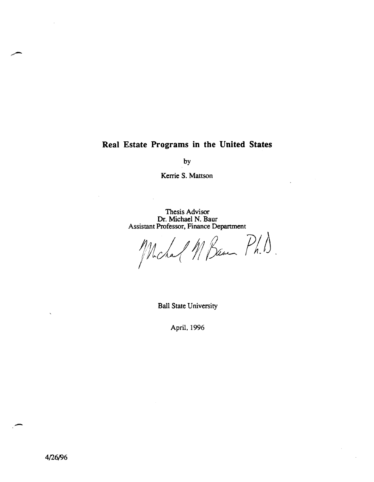#### **Real Estate Programs in the United States**

by

Kerrie S. Mattson

Thesis Advisor Dr. Michael N. Baur Assistant Professor, Finance Department

Mchal M Bam Ph.).

Ball State University

April,1996

-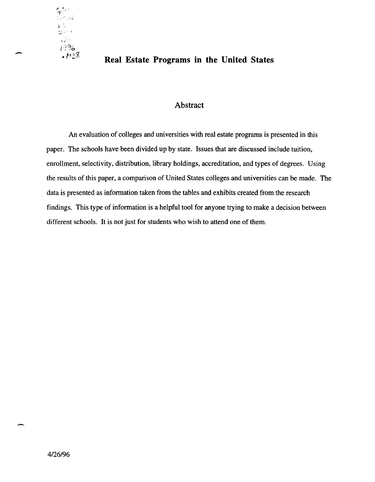

# - **Real Estate Programs in the United States**

#### Abstract

An evaluation of colleges and universities with real estate programs is presented in this paper. The schools have been divided up by state. Issues that are discussed include tuition, enrollment, selectivity, distribution, library holdings, accreditation, and types of degrees. Using the results of this paper, a comparison of United States colleges and universities can be made. The data is presented as information taken from the tables and exhibits created from the research findings. This type of information is a helpful tool for anyone trying to make a decision between different schools. It is not just for students who wish to attend one of them.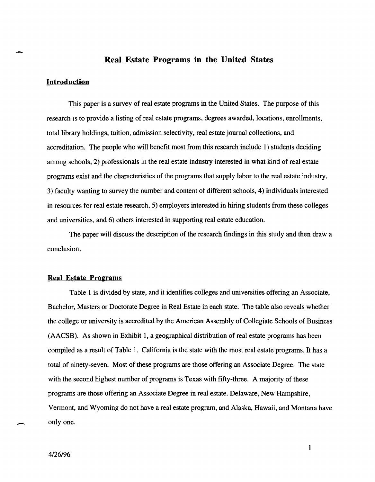#### Real Estate Programs in the United States

#### Introduction

-

This paper is a survey of real estate programs in the United States. The purpose of this research is to provide a listing of real estate programs, degrees awarded, locations, enrollments, total library holdings, tuition, admission selectivity, real estate journal collections, and accreditation. The people who will benefit most from this research include 1) students deciding among schools, 2) professionals in the real estate industry interested in what kind of real estate programs exist and the characteristics of the programs that supply labor to the real estate industry, 3) faculty wanting to survey the number and content of different schools, 4) individuals interested in resources for real estate research, 5) employers interested in hiring students from these colleges and universities, and 6) others interested in supporting real estate education.

The paper will discuss the description of the research findings in this study and then draw a conclusion.

#### Real Estate Programs

Table 1 is divided by state, and it identifies colleges and universities offering an Associate, Bachelor, Masters or Doctorate Degree in Real Estate in each state. The table also reveals whether the college or university is accredited by the American Assembly of Collegiate Schools of Business (AACSB). As shown in Exhibit 1, a geographical distribution of real estate programs has been compiled as a result of Table 1. California is the state with the most real estate programs. It has a total of ninety-seven. Most of these programs are those offering an Associate Degree. The state with the second highest number of programs is Texas with fifty-three. A majority of these programs are those offering an Associate Degree in real estate. Delaware, New Hampshire, Vermont, and Wyoming do not have a real estate program, and Alaska, Hawaii, and Montana have only one.

 $\overline{\phantom{0}}$ 

1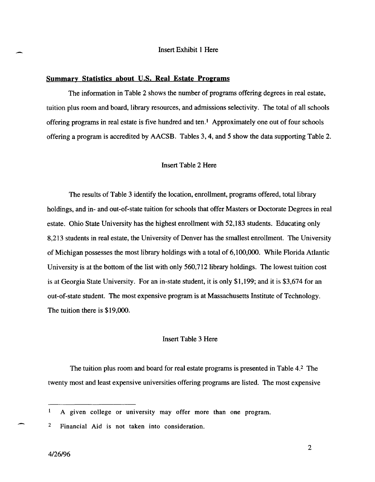#### Insert Exhibit 1 Here

#### Summary Statistics about U.S. Real Estate Proerams

The information in Table 2 shows the number of programs offering degrees in real estate, tuition plus room and board, library resources, and admissions selectivity. The total of all schools offering programs in real estate is five hundred and ten.<sup>1</sup> Approximately one out of four schools offering a program is accredited by AACSB. Tables 3,4, and 5 show the data supporting Table 2.

#### Insert Table 2 Here

The results of Table 3 identify the location, enrollment, programs offered, total library holdings, and in- and out-of-state tuition for schools that offer Masters or Doctorate Degrees in real estate. Ohio State University has the highest enrollment with 52,183 students. Educating only 8,213 students in real estate, the University of Denver has the smallest enrollment. The University of Michigan possesses the most library holdings with a total of 6,100,000. While Florida Atlantic University is at the bottom of the list with only  $560,712$  library holdings. The lowest tuition cost is at Georgia State University. For an in-state student, it is only \$1,199; and it is \$3,674 for an out-of-state student. The most expensive program is at Massachusetts Institute of Technology. The tuition there is \$19,000.

#### Insert Table 3 Here

The tuition plus room and board for real estate programs is presented in Table 4.2 The twenty most and least expensive universities offering programs are listed. The most expensive

 $\mathbf{1}$ A given college or university may offer more than one program.

2 Financial Aid is not taken into consideration.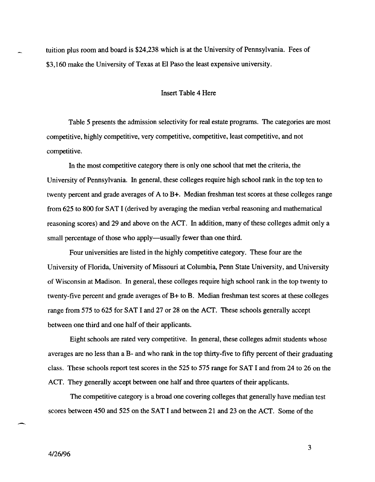tuition plus room and board is \$24,238 which is at the University of Pennsylvania. Fees of \$3,160 make the University of Texas at EI Paso the least expensive university.

#### Insert Table 4 Here

Table 5 presents the admission selectivity for real estate programs. The categories are most competitive, highly competitive, very competitive, competitive, least competitive, and not competitive.

In the most competitive category there is only one school that met the criteria, the University of Pennsylvania. In general, these colleges require high school rank in the top ten to twenty percent and grade averages of A to B+. Median freshman test scores at these colleges range from 625 to 800 for SAT I (derived by averaging the median verbal reasoning and mathematical reasoning scores) and 29 and above on the ACT. In addition, many of these colleges admit only a small percentage of those who apply—usually fewer than one third.

Four universities are listed in the highly competitive category. These four are the University of Florida, University of Missouri at Columbia, Penn State University, and University of Wisconsin at Madison. In general, these colleges require high school rank in the top twenty to twenty-five percent and grade averages of **B+** to B. Median freshman test scores at these colleges range from 575 to 625 for SAT I and 27 or 28 on the ACT. These schools generally accept between one third and one half of their applicants.

Eight schools are rated very competitive. In general, these colleges admit students whose averages are no less than a B- and who rank in the top thirty-five to fifty percent of their graduating class. These schools report test scores in the 525 to 575 range for SAT I and from 24 to 26 on the ACT. They generally accept between one half and three quarters of their applicants.

The competitive category is a broad one covering colleges that generally have median test scores between 450 and 525 on the SAT I and between 21 and 23 on the ACT. Some of the

3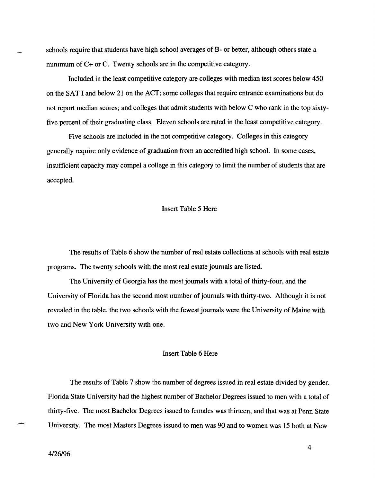schools require that students have high school averages of B- or better, although others state a minimum of C+ or C. Twenty schools are in the competitive category.

Included in the least competitive category are colleges with median test scores below 450 on the SAT I and below 21 on the ACT; some colleges that require entrance examinations but do not report median scores; and colleges that admit students with below C who rank in the top sixtyfive percent of their graduating class. Eleven schools are rated in the least competitive category.

Five schools are included in the not competitive category. Colleges in this category generally require only evidence of graduation from an accredited high school. In some cases, insufficient capacity may compel a college in this category to limit the number of students that are accepted.

#### Insert Table 5 Here

The results of Table 6 show the number of real estate collections at schools with real estate programs. The twenty schools with the most real estate journals are listed.

The University of Georgia has the most journals with a total of thirty-four, and the University of Florida has the second most number of journals with thirty-two. Although it is not revealed in the table, the two schools with the fewest journals were the University of Maine with two and New York University with one.

#### Insert Table 6 Here

The results of Table 7 show the number of degrees issued in real estate divided by gender. Florida State University had the highest number of Bachelor Degrees issued to men with a total of thirty-five. The most Bachelor Degrees issued to females was thirteen, and that was at Penn State University. The most Masters Degrees issued to men was 90 and to women was 15 both at New

..-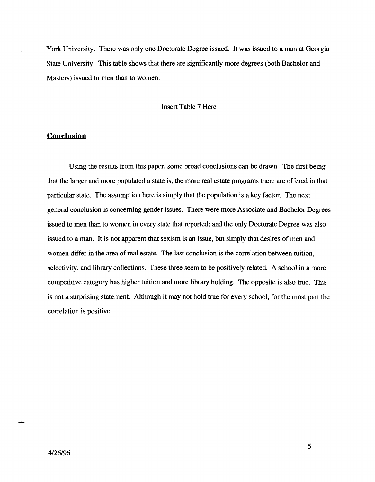York University. There was only one Doctorate Degree issued. It was issued to a man at Georgia State University. This table shows that there are significantly more degrees (both Bachelor and Masters) issued to men than to women.

#### Insert Table 7 Here

#### **Conclusion**

Using the results from this paper, some broad conclusions can be drawn. The first being that the larger and more populated a state is, the more real estate programs there are offered in that particular state. The assumption here is simply that the population is a key factor. The next general conclusion is concerning gender issues. There were more Associate and Bachelor Degrees issued to men than to women in every state that reported; and the only Doctorate Degree was also issued to a man. It is not apparent that sexism is an issue, but simply that desires of men and women differ in the area of real estate. The last conclusion is the correlation between tuition, selectivity, and library collections. These three seem to be positively related. A school in a more competitive category has higher tuition and more library holding. The opposite is also true. This is not a surprising statement. Although it may not hold true for every school, for the most part the correlation is positive.

-

5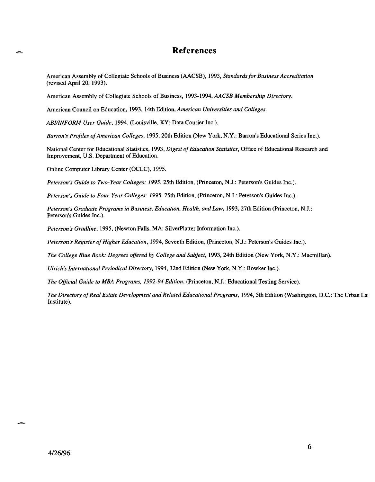#### **References**

American Assembly of Collegiate Schools of Business (AACSB), 1993, *Standards for Business Accreditation*  (revised April 20, 1993).

American Assembly of Collegiate Schools of Business, 1993-1994, *AA CSB Membership Directory.* 

American Council on Education, 1993, 14th Edition, *American Universities and Colleges.* 

*ABIIINFORM User Guide,* 1994, (Louisville, KY: Data Courier Inc.).

*Barron's Profiles of American Colleges,* 1995, 20th Edition (New York, N.Y.: Barron's Educational Series Inc.).

National Center for Educational Statistics, 1993, *Digest of Education Statistics,* Office of Educational Research and Improvement, U.S. Department of Education.

Online Computer Library Center (OCLC), 1995.

*Peterson's Guide to Two-Year Colleges:* 1995, 25th Edition, (Princeton, N.J.: Peterson's Guides Inc.).

*Peterson's Guide to Four-Year Colleges:* 1995, 25th Edition, (Princeton, N.J.: Peterson's Guides Inc.).

Peterson's Graduate Programs in Business, Education, Health, and Law, 1993, 27th Edition (Princeton, N.J.: Peterson's Guides Inc.).

*Peterson's Gradline,* 1995, (Newton Falls, MA: SilverPlatter Information Inc.).

*Peterson's Register of Higher Education,* 1994, Seventh Edition, (Princeton, N.J.: Peterson's Guides Inc.).

*The College Blue Book: Degrees offered by College and Subject, 1993, 24th Edition (New York, N.Y.: Macmillan).* 

*Ulrich's 1nternational Periodical Directory,* 1994, 32nd Edition (New York, N.Y.: Bowker Inc.).

*The Official Guide to MBA Programs,* 1992-94 *Edition,* (Princeton, N.J.: Educational Testing Service).

*The Directory of Real Estate Development and Related Educational Programs, 1994, 5th Edition (Washington, D.C.: The Urban La* Institute).

-.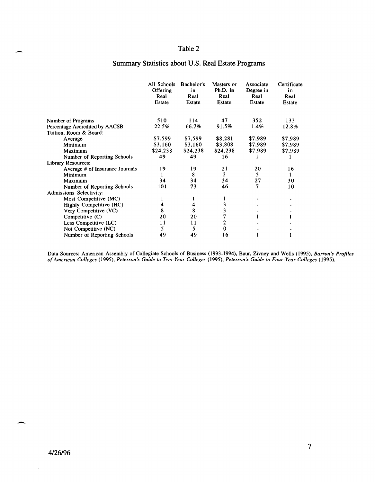#### Table 2

#### Summary Statistics about U.S. Real Estate Programs

|                                 | All Schools<br>Offering<br>Real<br>Estate | Bachelor's<br>in<br>Real<br>Estate | Masters or<br>Ph.D. in<br>Real<br>Estate | Associate<br>Degree in<br>Real<br>Estate | Certificate<br>in<br>Real<br>Estate |
|---------------------------------|-------------------------------------------|------------------------------------|------------------------------------------|------------------------------------------|-------------------------------------|
|                                 |                                           |                                    |                                          |                                          |                                     |
| Number of Programs              | 510                                       | 114                                | 47                                       | 352                                      | 133                                 |
| Percentage Accredited by AACSB  | 22.5%                                     | 66.7%                              | 91.5%                                    | $1.4\%$                                  | 12.8%                               |
| Tuition, Room & Board:          |                                           |                                    |                                          |                                          |                                     |
| Average                         | \$7,599                                   | \$7,599                            | \$8,281                                  | \$7,989                                  | \$7,989                             |
| Minimum                         | \$3,160                                   | \$3,160                            | \$3,808                                  | \$7,989                                  | \$7,989                             |
| Maximum                         | \$24,238                                  | \$24,238                           | \$24,238                                 | \$7,989                                  | \$7,989                             |
| Number of Reporting Schools     | 49                                        | 49                                 | 16                                       |                                          |                                     |
| Library Resources:              |                                           |                                    |                                          |                                          |                                     |
| Average # of Insurance Journals | 19                                        | 19                                 | 21                                       | 20                                       | 16                                  |
| Minimum                         |                                           | 8                                  | 3                                        | 5                                        |                                     |
| Maximum                         | 34                                        | 34                                 | 34                                       | 27                                       | 30                                  |
| Number of Reporting Schools     | 101                                       | 73                                 | 46                                       | 7                                        | 10                                  |
| Admissions Selectivity:         |                                           |                                    |                                          |                                          |                                     |
| Most Competitive (MC)           |                                           | 1                                  |                                          |                                          |                                     |
| Highly Competitive (HC)         |                                           | 4                                  | 3                                        |                                          |                                     |
| Very Competitive (VC)           | 8                                         | 8                                  | 3                                        |                                          |                                     |
| Competitive (C)                 | 20                                        | 20                                 | 7                                        |                                          |                                     |
| Less Competitive (LC)           | 11                                        | 11                                 | 2                                        |                                          |                                     |
| Not Competitive (NC)            | 5                                         | 5                                  | $\bf{0}$                                 |                                          |                                     |
| Number of Reporting Schools     | 49                                        | 49                                 | 16                                       |                                          |                                     |

Data Sources: American Assembly of Collegiate Schools of Business (1993-1994), Baur, Zivney and Wells (1995), *Barron's Profiles of American Colleges* (1995), *Peterson's Guide to Two-Year Colleges* (1995), *Peterson's Guide to Four-Year Colleges (1995).* 

-

-

7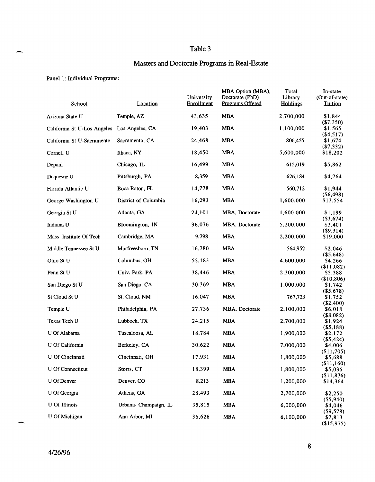### Table 3 Masters and Doctorate Programs in Real-Estate

#### Panel 1: Individual Programs:

| School                                      | Location              | University<br>Enrollment | MBA Option (MBA),<br>Doctorate (PhD)<br>Programs Offered | Total<br>Library<br><b>Holdings</b> | In-state<br>(Out-of-state)<br><b>Tuition</b> |
|---------------------------------------------|-----------------------|--------------------------|----------------------------------------------------------|-------------------------------------|----------------------------------------------|
| Arizona State U                             | Temple, AZ            | 43,635                   | <b>MBA</b>                                               | 2,700,000                           | \$1,844                                      |
| California St U-Los Angeles Los Angeles, CA |                       | 19,403                   | <b>MBA</b>                                               | 1,100,000                           | ( \$7,350)<br>\$1,565                        |
| California St U-Sacramento                  | Sacramento, CA        | 24,468                   | <b>MBA</b>                                               | 806,455                             | ( \$4,517)<br>\$1,674<br>( \$7,332)          |
| Cornell U                                   | Ithaca, NY            | 18,450                   | <b>MBA</b>                                               | 5,600,000                           | \$18,202                                     |
| Depaul                                      | Chicago, IL           | 16,499                   | <b>MBA</b>                                               | 615.019                             | \$5,862                                      |
| Duquesne U                                  | Pittsburgh, PA        | 8,359                    | <b>MBA</b>                                               | 626,184                             | \$4,764                                      |
| Florida Atlantic U                          | Boca Raton, FL        | 14,778                   | <b>MBA</b>                                               | 560,712                             | \$1,944                                      |
| George Washington U                         | District of Columbia  | 16,293                   | <b>MBA</b>                                               | 1,600,000                           | $($ \$6,498 $)$<br>\$13,554                  |
| Georgia St U                                | Atlanta, GA           | 24,101                   | MBA, Doctorate                                           | 1,600,000                           | \$1,199<br>( \$3,674)                        |
| Indiana U                                   | Bloomington, IN       | 36,076                   | MBA, Doctorate                                           | 5,200,000                           | \$3,401                                      |
| Mass Institute Of Tech                      | Cambridge, MA         | 9,798                    | <b>MBA</b>                                               | 2,200,000                           | ( \$9,314)<br>\$19,000                       |
| Middle Tennessee St U                       | Murfreesboro, TN      | 16,780                   | <b>MBA</b>                                               | 564,952                             | \$2,046                                      |
| Ohio St U                                   | Columbus, OH          | 52,183                   | <b>MBA</b>                                               | 4,600,000                           | ( \$5,648)<br>\$4,266                        |
| Penn St U                                   | Univ. Park, PA        | 38,446                   | <b>MBA</b>                                               | 2,300,000                           | (\$11,082)<br>\$5,388                        |
| San Diego St U                              | San Diego, CA         | 30,369                   | <b>MBA</b>                                               | 1,000,000                           | (\$10,806)<br>\$1,742                        |
|                                             |                       |                          |                                                          |                                     | $($ \$5,678)                                 |
| St Cloud St U                               | St. Cloud, NM         | 16,047                   | <b>MBA</b>                                               | 767,723                             | \$1,752<br>(\$2,400)                         |
| Temple U                                    | Philadelphia, PA      | 27,736                   | MBA, Doctorate                                           | 2,100,000                           | \$6,018                                      |
| Texas Tech U                                | Lubbock, TX           | 24,215                   | <b>MBA</b>                                               | 2,700,000                           | $($ \$8,082)<br>\$1,924                      |
|                                             |                       |                          |                                                          |                                     | (55, 188)                                    |
| U Of Alabama                                | Tuscaloosa, AL        | 18,784                   | <b>MBA</b>                                               | 1,900,000                           | \$2,172                                      |
| U Of California                             | Berkeley, CA          | 30,622                   | <b>MBA</b>                                               | 7,000,000                           | $($ \$5,424 $)$<br>\$4,006                   |
|                                             |                       |                          |                                                          |                                     | (\$11,705)                                   |
| U Of Cincinnati                             | Cincinnati, OH        | 17,931                   | <b>MBA</b>                                               | 1,800,000                           | \$5,688                                      |
| U Of Connecticut                            | Storrs, CT            | 18,399                   | <b>MBA</b>                                               | 1,800,000                           | (\$11,160)<br>\$5,036                        |
| U Of Denver                                 | Denver, CO            | 8,213                    | <b>MBA</b>                                               | 1,200,000                           | (\$11,876)<br>\$14,364                       |
| U Of Georgia                                | Athens, GA            | 28,493                   | <b>MBA</b>                                               | 2,700,000                           | \$2,250                                      |
| <b>U</b> Of Illinois                        | Urbana- Champaign, IL | 35,815                   | <b>MBA</b>                                               | 6,000,000                           | ( \$5,940)<br>\$4,046                        |
| U Of Michigan                               | Ann Arbor, MI         | 36,626                   | <b>MBA</b>                                               | 6,100,000                           | (\$9,578)<br>\$7,813<br>(\$15,975)           |

ж,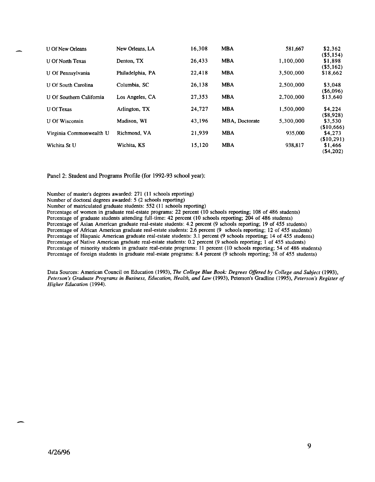| U Of New Orleans           | New Orleans, LA  | 16,308 | <b>MBA</b>     | 581,667   | \$2,362                             |
|----------------------------|------------------|--------|----------------|-----------|-------------------------------------|
| U Of North Texas           | Denton, TX       | 26,433 | <b>MBA</b>     | 1,100,000 | $($ \$5,154 $)$<br>\$1,898          |
| U Of Pennsylvania          | Philadelphia, PA | 22,418 | <b>MBA</b>     | 3,500,000 | $($ \$5,162)<br>\$18,662            |
| <b>U Of South Carolina</b> | Columbia, SC     | 26,138 | <b>MBA</b>     | 2,500,000 | \$3,048                             |
| U Of Southern California   | Los Angeles, CA  | 27,353 | <b>MBA</b>     | 2,700,000 | $($ \$6,096)<br>\$13,640            |
| <b>U</b> Of Texas          | Arlington, TX    | 24,727 | <b>MBA</b>     | 1.500.000 | \$4,224                             |
| U Of Wisconsin             | Madison, WI      | 43,196 | MBA, Doctorate | 5,300,000 | $($ \$8,928)<br>\$3,530             |
| Virginia Commonwealth U    | Richmond, VA     | 21,939 | <b>MBA</b>     | 935,000   | (\$10,666)<br>\$4,273               |
| Wichita St U               | Wichita, KS      | 15,120 | <b>MBA</b>     | 938.817   | (\$10,291)<br>\$1,466<br>( \$4,202) |

Panel 2: Student and Programs Profile (for 1992-93 school year):

Number of master's degrees awarded: 271 (11 schools reporting)

Number of doctoral degrees awarded: 5 (2 schools reporting)

Number of matriculated graduate students: 552 (11 schools reporting)

Percentage of women in graduate real-estate programs: 22 percent (10 schools reporting; 108 of 486 students)

Percentage of graduate students attending full-time: 42 percent (10 schools reporting; 204 of 486 students)

Percentage of Asian American graduate real-estate students: 4.2 percent (9 schools reporting; 19 of 455 students)

Percentage of African American graduate real-estate students: 2.6 percent (9 schools reporting; 12 of 455 students)

Percentage of Hispanic American graduate real-estate students: 3.1 percent (9 schools reporting; 14 of 455 students)

Percentage of Native American graduate real-estate students: 0.2 percent (9 schools reporting; 1 of 455 students)

Percentage of minority students in graduate real-estate programs: 11 percent (10 schools reporting; 54 of 486 students)

Percentage of foreign students in graduate real-estate programs: 8.4 percent (9 schools reporting; 38 of 455 students)

Data Sources: American Council on Education (1993), *The College Blue Book: Degrees Offered by College and Subject (1993), Peterson's Graduate Programs in Business, Education, Health, and Law* (1993), Peterson's Gradline (1995), *Peterson's Register of Higher Education (1994).* 

-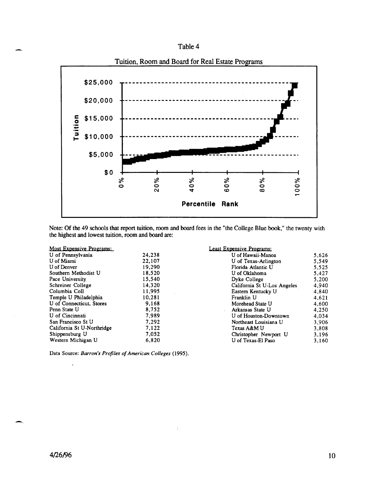



Note: Of the 49 schools that report tuition, room and board fees in the "the College Blue book," the twenty with the highest and lowest tuition, room and board are:

#### Most Expensive Programs:

| U of Pennsylvania          | 24.238 |
|----------------------------|--------|
| U of Miami                 | 22,107 |
| U of Denver                | 19.290 |
| Southern Methodist U       | 18.520 |
| Pace University            | 15.540 |
| Schreiner College          | 14.320 |
| Columbia Coll              | 11,995 |
| Temple U Philadelphia      | 10.281 |
| U of Connecticut, Stores   | 9.168  |
| Penn State U               | 8,752  |
| U of Cincinnati            | 7.989  |
| San Francisco St U         | 7.292  |
| California St U-Northridge | 7.122  |
| Shippensburg U             | 7.052  |
| Western Michigan U         | 6.820  |
|                            |        |

Data Source: *Barron's Profiles of American Colleges (1995).* 

#### Least Expensive Programs:

| U of Hawaii-Manoa           | 5,626 |
|-----------------------------|-------|
| U of Texas-Arlington        | 5,549 |
| Florida Atlantic U          | 5.525 |
| U of Oklahoma               | 5,427 |
| Dyke College                | 5.200 |
| California St U-Los Angeles | 4.940 |
| Eastern Kentucky U          | 4.840 |
| Franklin U                  | 4.621 |
| Morehead State U            | 4,600 |
| Arkansas State U            | 4,250 |
| U of Houston-Downtown       | 4.034 |
| Northeast Louisiana U       | 3.906 |
| Texas A&M U                 | 3,808 |
| Christopher Newport U       | 3,196 |
| U of Texas-El Paso          | 3.160 |
|                             |       |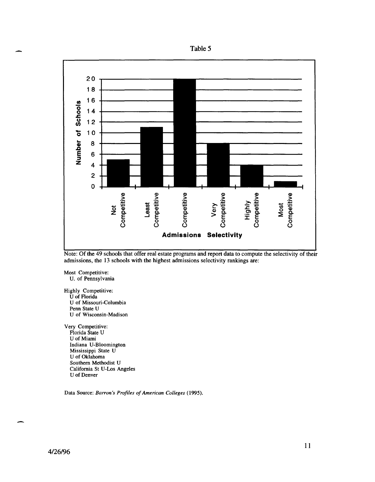



Note: Of the 49 schools that offer real estate programs and report data to compute the selectivity of their admissions, the 13 schools with the highest admissions selectivity rankings are:

Most Competitive: U. of Pennsylvania

Highly Competitive: U of Florida U of Missouri-Columbia Penn State U U of Wisconsin-Madison

Very Competitive: Florida State U U of Miami Indiana U-Bloomington Mississippi State U U of Oklahoma Southern Methodist U California St U-Los Angeles U of Denver

Data Source: *Barron's Profiles of American Colleges (1995).*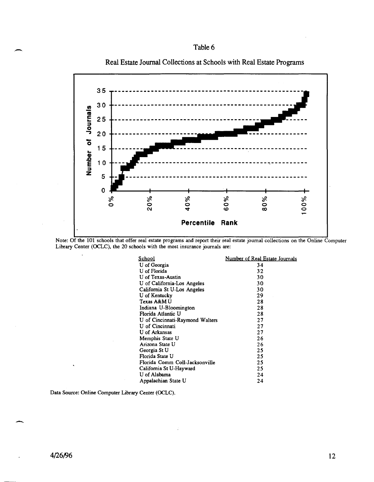





Note: Of the 101 schools that offer real estate programs and report their real estate journal collections on the Online Computer

|           | Library Center (OCLC), the 20 schools with the most insurance journals are: |                                |
|-----------|-----------------------------------------------------------------------------|--------------------------------|
|           | <u>School</u>                                                               | Number of Real Estate Journals |
|           | U of Georgia                                                                | 34                             |
|           | U of Florida                                                                | 32                             |
|           | U of Texas-Austin                                                           | 30                             |
|           | U of California-Los Angeles                                                 | 30                             |
|           | California St U-Los Angeles                                                 | 30                             |
|           | U of Kentucky                                                               | 29.                            |
|           | Texas A&M U                                                                 | 28                             |
|           | Indiana U-Bloomington                                                       | 28                             |
|           | Florida Atlantic U                                                          | 28                             |
|           | U of Cincinnati-Raymond Walters                                             | 27                             |
|           | U of Cincinnati                                                             | 27                             |
|           | U of Arkansas                                                               | 27                             |
|           | Memphis State U                                                             | 26                             |
|           | Arizona State U                                                             | 26                             |
|           | Georgia St U                                                                | 25                             |
|           | Florida State U                                                             | 25                             |
|           | Florida Comm Coll-Jacksonville                                              | 25                             |
| $\bullet$ | California St U-Hayward                                                     | 25                             |
|           | U of Alabama                                                                | 24                             |
|           | Appalachian State U                                                         | 24                             |
|           |                                                                             |                                |

Data Source: Online Computer Library Center (OCLC).

-

,-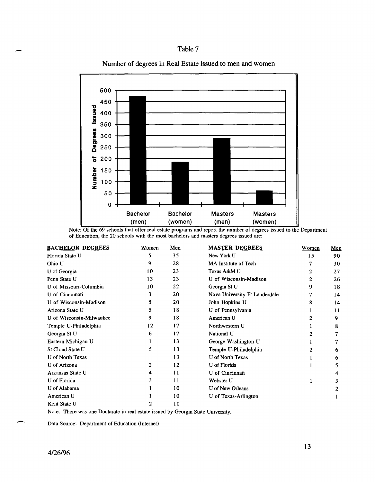#### Table 7





Note: Of the 69 schools that offer real estate programs and report the number of degrees issued to the Department of Education, the 20 schools with the most bachelors and masters degrees issued are:

| <b>BACHELOR DEGREES</b>  | Women | Men | <b>MASTER DEGREES</b>         | Women | Men |
|--------------------------|-------|-----|-------------------------------|-------|-----|
| Florida State U          | 5     | 35  | New York U                    | 15    | 90  |
| Ohio U                   | 9     | 28  | MA Institute of Tech          |       | 30  |
| U of Georgia             | 10    | 23  | Texas A&M U                   | 2     | 27  |
| Penn State U             | 13    | 23  | U of Wisconsin-Madison        | 2     | 26  |
| U of Missouri-Columbia   | 10    | 22  | Georgia St U                  | 9     | 18  |
| U of Cincinnati          | 3     | 20  | Nova University-Ft Lauderdale |       | 14  |
| U of Wisconsin-Madison   | 5     | 20  | John Hopkins U                | 8     | 14  |
| Arizona State U          | 5     | 18  | U of Pennsylvania             |       | 11  |
| U of Wisconsin-Milwaukee | 9     | 18  | American U                    |       | 9   |
| Temple U-Philadelphia    | 12    | 17  | Northwestern U                |       | 8   |
| Georgia St U             | 6     | 17  | National U                    |       |     |
| Eastern Michigan U       |       | 13  | George Washington U           |       |     |
| St Cloud State U         | 5     | 13  | Temple U-Philadelphia         |       | 6   |
| U of North Texas         |       | 13  | U of North Texas              |       | 6   |
| U of Arizona             | 2     | 12  | U of Florida                  |       |     |
| Arkansas State U         | 4     | 11  | U of Cincinnati               |       | 4   |
| U of Florida             | 3     | 11  | Webster U                     |       |     |
| U of Alabama             |       | 10  | U of New Orleans              |       |     |
| American U               |       | 10  | U of Texas-Arlington          |       |     |
| Kent State U             | 2     | 10  |                               |       |     |

Note: There was one Doctarate in real estate issued by Georgia State University.

Data Source: Department of Education (Internet)

-

-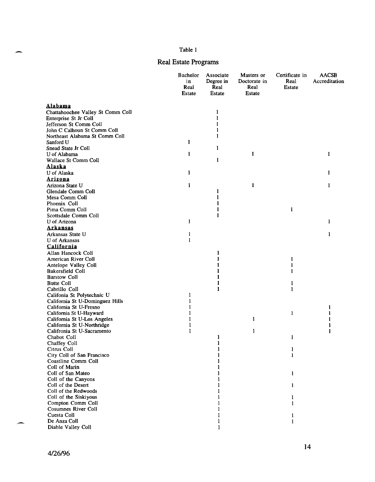#### Table 1

Real Estate Programs

|                                          | Bachelor<br>in<br>Real<br><b>Estate</b> | Associate<br>Degree in<br>Real<br>Estate | Masters or<br>Doctorate in<br>Real<br><b>Estate</b> | Certificate in<br>Real<br><b>Estate</b> | <b>AACSB</b><br>Accreditation |
|------------------------------------------|-----------------------------------------|------------------------------------------|-----------------------------------------------------|-----------------------------------------|-------------------------------|
| Alabama                                  |                                         |                                          |                                                     |                                         |                               |
| Chattahoochee Valley St Comm Coll        |                                         | 1                                        |                                                     |                                         |                               |
| Enterprise St Jr Coll                    |                                         | 1                                        |                                                     |                                         |                               |
| Jefferson St Comm Coll                   |                                         | 1                                        |                                                     |                                         |                               |
| John C Calhoun St Comm Coll              |                                         | 1                                        |                                                     |                                         |                               |
| Northeast Alabama St Comm Coll           |                                         | 1                                        |                                                     |                                         |                               |
| Sanford U                                | 1                                       |                                          |                                                     |                                         |                               |
| Snead State Jr Coll                      |                                         | 1                                        |                                                     |                                         |                               |
| U of Alabama                             | 1                                       |                                          | 1                                                   |                                         | 1                             |
| Wallace St Comm Coll                     |                                         | 1                                        |                                                     |                                         |                               |
| Alaska                                   |                                         |                                          |                                                     |                                         |                               |
| U of Alaska                              | 1                                       |                                          |                                                     |                                         | 1                             |
| <b>Arizona</b>                           |                                         |                                          |                                                     |                                         |                               |
| Arizona State U                          | 1                                       |                                          | $\mathbf{1}$                                        |                                         | 1                             |
| Glendale Comm Coll                       |                                         |                                          |                                                     |                                         |                               |
| Mesa Comm Coll                           |                                         |                                          |                                                     |                                         |                               |
| Phoenix Coll                             |                                         |                                          |                                                     |                                         |                               |
| Pima Comm Coll                           |                                         | 1                                        |                                                     | 1                                       |                               |
| Scottsdale Comm Coll<br>U of Arizona     |                                         | 1                                        |                                                     |                                         |                               |
|                                          | 1                                       |                                          |                                                     |                                         | 1                             |
| Arkansas<br>Arkansas State U             |                                         |                                          |                                                     |                                         |                               |
| U of Arkansas                            | 1<br>1                                  |                                          |                                                     |                                         | 1                             |
|                                          |                                         |                                          |                                                     |                                         |                               |
| <b>California</b><br>Allan Hancock Coll  |                                         |                                          |                                                     |                                         |                               |
| American River Coll                      |                                         | 1<br>1                                   |                                                     | 1                                       |                               |
| Antelope Valley Coll                     |                                         |                                          |                                                     | 1                                       |                               |
| <b>Bakersfield Coll</b>                  |                                         |                                          |                                                     | 1                                       |                               |
| <b>Barstow Coll</b>                      |                                         |                                          |                                                     |                                         |                               |
| <b>Butte Coll</b>                        |                                         |                                          |                                                     | 1                                       |                               |
| Cabrillo Coll                            |                                         | 1                                        |                                                     | 1                                       |                               |
| Califonia St Polytechnic U               | 1                                       |                                          |                                                     |                                         |                               |
| California St U-Dominguez Hills          | 1                                       |                                          |                                                     |                                         |                               |
| California St U-Fresno                   |                                         |                                          |                                                     |                                         | 1                             |
| California St U-Hayward                  |                                         |                                          |                                                     | 1                                       |                               |
| California St U-Los Angeles              |                                         |                                          | 1                                                   |                                         |                               |
| California St U-Northridge               | 1                                       |                                          |                                                     |                                         |                               |
| Califronia St U-Sacramento               | 1                                       |                                          | 1                                                   |                                         | 1                             |
| Chabot Coll                              |                                         | 1                                        |                                                     | 1                                       |                               |
| Chaffey Coll                             |                                         |                                          |                                                     |                                         |                               |
| Citrus Coll                              |                                         |                                          |                                                     | 1                                       |                               |
| City Coll of San Francisco               |                                         | 1                                        |                                                     | $\mathbf{1}$                            |                               |
| Coastline Comm Coll                      |                                         |                                          |                                                     |                                         |                               |
| Coll of Marin                            |                                         |                                          |                                                     |                                         |                               |
| Coll of San Mateo<br>Coll of the Canyons |                                         |                                          |                                                     | $\mathbf{1}$                            |                               |
| Coll of the Desert                       |                                         |                                          |                                                     | 1                                       |                               |
| Coll of the Redwoods                     |                                         |                                          |                                                     |                                         |                               |
| Coll of the Siskiyous                    |                                         |                                          |                                                     | 1                                       |                               |
| Compton Comm Coll                        |                                         |                                          |                                                     | 1                                       |                               |
| Cosumnes River Coll                      |                                         |                                          |                                                     |                                         |                               |
| Cuesta Coll                              |                                         |                                          |                                                     | $\mathbf{1}$                            |                               |
| De Anza Coll                             |                                         | 1                                        |                                                     | 1                                       |                               |
| Diable Valley Coll                       |                                         | 1                                        |                                                     |                                         |                               |

 $\overline{\phantom{0}}$ 

 $\overline{\phantom{0}}$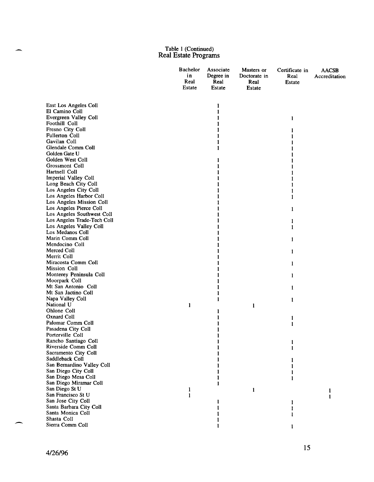|                                                  | Bachelor<br>in<br>Real<br>Estate | Associate<br>Degree in<br>Real<br>Estate | Masters or<br>Doctorate in<br>Real<br><b>Estate</b> | Certificate in<br>Real<br><b>Estate</b> | <b>AACSB</b><br>Accreditation |
|--------------------------------------------------|----------------------------------|------------------------------------------|-----------------------------------------------------|-----------------------------------------|-------------------------------|
|                                                  |                                  |                                          |                                                     |                                         |                               |
| East Los Angeles Coll                            |                                  | 1                                        |                                                     |                                         |                               |
| El Camino Coll                                   |                                  | 1                                        |                                                     |                                         |                               |
| Evergreen Valley Coll<br>Foothill Coll           |                                  |                                          |                                                     | 1                                       |                               |
| Fresno City Coll                                 |                                  |                                          |                                                     |                                         |                               |
| <b>Fullerton Coll</b>                            |                                  |                                          |                                                     |                                         |                               |
| Gavilan Coll                                     |                                  |                                          |                                                     |                                         |                               |
| Glendale Comm Coll                               |                                  |                                          |                                                     |                                         |                               |
| Golden Gate U                                    |                                  |                                          |                                                     |                                         |                               |
| Golden West Coll                                 |                                  |                                          |                                                     |                                         |                               |
| Grossmont Coll                                   |                                  |                                          |                                                     |                                         |                               |
| Hartnell Coll                                    |                                  |                                          |                                                     |                                         |                               |
| Imperial Valley Coll                             |                                  |                                          |                                                     |                                         |                               |
| Long Beach City Coll                             |                                  |                                          |                                                     |                                         |                               |
| Los Angeles City Coll<br>Los Angeles Harbor Coll |                                  |                                          |                                                     |                                         |                               |
| Los Angeles Mission Coll                         |                                  |                                          |                                                     |                                         |                               |
| Los Angeles Pierce Coll                          |                                  |                                          |                                                     | 1                                       |                               |
| Los Angeles Southwest Coll                       |                                  |                                          |                                                     |                                         |                               |
| Los Angeles Trade-Tech Coll                      |                                  |                                          |                                                     |                                         |                               |
| Los Angeles Valley Coll                          |                                  |                                          |                                                     | 1                                       |                               |
| Los Medanos Coll                                 |                                  |                                          |                                                     |                                         |                               |
| Marin Comm Coll                                  |                                  |                                          |                                                     | 1                                       |                               |
| Mendocino Coll                                   |                                  |                                          |                                                     |                                         |                               |
| Merced Coll                                      |                                  |                                          |                                                     | 1                                       |                               |
| Merrit Coll                                      |                                  |                                          |                                                     |                                         |                               |
| Miracosta Comm Coll                              |                                  |                                          |                                                     | 1                                       |                               |
| Mission Coll<br>Monterey Peninsula Coll          |                                  |                                          |                                                     |                                         |                               |
| Moorpark Coll                                    |                                  |                                          |                                                     | 1                                       |                               |
| Mt San Antonio Coll                              |                                  |                                          |                                                     | 1                                       |                               |
| Mt San Jactino Coll                              |                                  |                                          |                                                     |                                         |                               |
| Napa Valley Coll                                 |                                  | 1                                        |                                                     | 1                                       |                               |
| National U                                       | 1                                |                                          | 1                                                   |                                         |                               |
| Ohlone Coll                                      |                                  |                                          |                                                     |                                         |                               |
| Oxnard Coll                                      |                                  |                                          |                                                     | 1                                       |                               |
| Palomar Comm Coll                                |                                  |                                          |                                                     | I                                       |                               |
| Pasadena City Coll                               |                                  |                                          |                                                     |                                         |                               |
| Porterville Coll<br>Rancho Santiago Coll         |                                  |                                          |                                                     |                                         |                               |
| Riverside Comm Coll                              |                                  |                                          |                                                     |                                         |                               |
| Sacramento City Coll                             |                                  |                                          |                                                     |                                         |                               |
| Saddleback Coll                                  |                                  |                                          |                                                     |                                         |                               |
| San Bernardino Valley Coll                       |                                  |                                          |                                                     |                                         |                               |
| San Diego City Coll                              |                                  |                                          |                                                     |                                         |                               |
| San Diego Mesa Coll                              |                                  |                                          |                                                     |                                         |                               |
| San Diego Miramar Coll                           |                                  |                                          |                                                     |                                         |                               |
| San Diego St U                                   | 1                                |                                          | 1                                                   |                                         |                               |
| San Francisco St U                               | 1                                |                                          |                                                     |                                         | 1                             |
| San Jose City Coll                               |                                  |                                          |                                                     |                                         |                               |
| Santa Barbara City Coll<br>Santa Monica Coll     |                                  |                                          |                                                     |                                         |                               |
| Shasta Coll                                      |                                  |                                          |                                                     |                                         |                               |
| Sierra Comm Coll                                 |                                  |                                          |                                                     |                                         |                               |
|                                                  |                                  |                                          |                                                     |                                         |                               |

 $\overline{\phantom{a}}$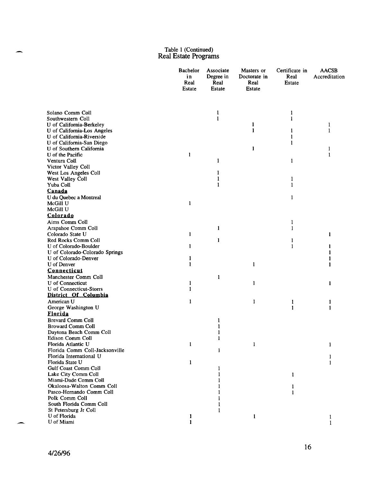|                                                         | Bachelor<br>in<br>Real<br>Estate | Associate<br>Degree in<br>Real<br>Estate | Masters or<br>Doctorate in<br>Real<br>Estate | Certificate in<br>Real<br>Estate | <b>AACSB</b><br>Accreditation |
|---------------------------------------------------------|----------------------------------|------------------------------------------|----------------------------------------------|----------------------------------|-------------------------------|
|                                                         |                                  |                                          |                                              |                                  |                               |
| Solano Comm Coll                                        |                                  | $\mathbf{1}$                             |                                              | 1                                |                               |
| Southwestern Coll                                       |                                  | 1                                        | $\mathbf{1}$                                 | $\mathbf{1}$                     |                               |
| U of California-Berkeley<br>U of California-Los Angeles |                                  |                                          | 1                                            | 1                                | 1<br>1                        |
| U of California-Riverside                               |                                  |                                          |                                              | 1                                |                               |
| U of California-San Diego                               |                                  |                                          |                                              | 1                                |                               |
| U of Southern California                                |                                  |                                          | 1                                            |                                  | 1                             |
| U of the Pacific                                        | 1                                |                                          |                                              |                                  | 1                             |
| Ventura Coll                                            |                                  | 1                                        |                                              | $\mathbf{1}$                     |                               |
| Victor Valley Coll                                      |                                  |                                          |                                              |                                  |                               |
| West Los Angeles Coll                                   |                                  | 1                                        |                                              |                                  |                               |
| West Valley Coll                                        |                                  | 1                                        |                                              | 1                                |                               |
| Yuba Coll                                               |                                  | 1                                        |                                              | 1                                |                               |
| Canada                                                  |                                  |                                          |                                              |                                  |                               |
| U du Quebec a Montreal                                  |                                  |                                          |                                              | 1                                |                               |
| McGill U                                                | 1                                |                                          |                                              |                                  |                               |
| McGill U                                                |                                  |                                          |                                              |                                  |                               |
| Colorado                                                |                                  |                                          |                                              |                                  |                               |
| Aims Comm Coll                                          |                                  |                                          |                                              | 1                                |                               |
| Arapahoe Comm Coll<br>Colorado State U                  | 1                                | 1                                        |                                              | 1                                | 1                             |
| Red Rocks Comm Coll                                     |                                  | 1                                        |                                              | 1                                |                               |
| U of Colorado-Boulder                                   | 1                                |                                          |                                              | 1                                |                               |
| U of Colorado-Colorado Springs                          |                                  |                                          |                                              |                                  |                               |
| U of Colorado-Denver                                    |                                  |                                          |                                              |                                  |                               |
| U of Denver                                             | 1                                |                                          | 1                                            |                                  | 1                             |
| Connecticut                                             |                                  |                                          |                                              |                                  |                               |
| Manchester Comm Coll                                    |                                  | 1                                        |                                              |                                  |                               |
| U of Connecticut                                        | 1                                |                                          | 1                                            |                                  | 1                             |
| U of Connecticut-Storrs                                 | 1                                |                                          |                                              |                                  |                               |
| District Of Columbia                                    |                                  |                                          |                                              |                                  |                               |
| American U                                              | 1                                |                                          | 1                                            | 1                                |                               |
| George Washington U                                     |                                  |                                          |                                              | 1                                | 1                             |
| <b>Florida</b>                                          |                                  |                                          |                                              |                                  |                               |
| <b>Brevard Comm Coll</b>                                |                                  | 1                                        |                                              |                                  |                               |
| <b>Broward Comm Coll</b>                                |                                  |                                          |                                              |                                  |                               |
| Daytona Beach Comm Coll                                 |                                  |                                          |                                              |                                  |                               |
| Edison Comm Coll<br>Florida Atlantic U                  | 1                                |                                          | $\mathbf{1}$                                 |                                  |                               |
| Florida Comm Coll-Jacksonville                          |                                  | 1                                        |                                              |                                  | 1                             |
| Florida International U                                 |                                  |                                          |                                              |                                  |                               |
| Florida State U                                         | 1                                |                                          |                                              |                                  |                               |
| Gulf Coast Comm Coll                                    |                                  | 1                                        |                                              |                                  |                               |
| Lake City Comm Coll                                     |                                  |                                          |                                              | 1                                |                               |
| Miami-Dade Comm Coll                                    |                                  |                                          |                                              |                                  |                               |
| Okaloosa-Walton Comm Coll                               |                                  |                                          |                                              | 1                                |                               |
| Pasco-Hernando Comm Coll                                |                                  |                                          |                                              | 1                                |                               |
| Polk Comm Coll                                          |                                  |                                          |                                              |                                  |                               |
| South Florida Comm Coll                                 |                                  |                                          |                                              |                                  |                               |
| St Petersburg Jr Coll                                   |                                  | 1                                        |                                              |                                  |                               |
| U of Florida<br>U of Miami                              | 1<br>1                           |                                          | $\mathbf{1}$                                 |                                  | 1                             |
|                                                         |                                  |                                          |                                              |                                  | 1                             |

 $\overline{\phantom{a}}$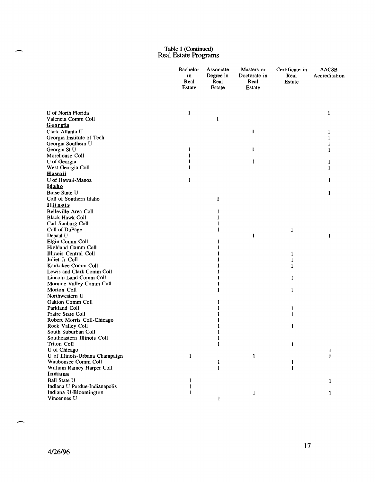|                                                  | Bachelor<br>in<br>Real<br>Estate | Associate<br>Degree in<br>Real<br>Estate | Masters or<br>Doctorate in<br>Real<br><b>Estate</b> | Certificate in<br>Real<br><b>Estate</b> | <b>AACSB</b><br>Accreditation |
|--------------------------------------------------|----------------------------------|------------------------------------------|-----------------------------------------------------|-----------------------------------------|-------------------------------|
| U of North Florida                               | $\mathbf{1}$                     |                                          |                                                     |                                         | 1                             |
| Valencia Comm Coll                               |                                  | 1                                        |                                                     |                                         |                               |
| <u>Georgia</u>                                   |                                  |                                          |                                                     |                                         |                               |
| Clark Atlanta U                                  |                                  |                                          | 1                                                   |                                         | 1                             |
| Georgia Institute of Tech                        |                                  |                                          |                                                     |                                         |                               |
| Georgia Southern U                               |                                  |                                          |                                                     |                                         |                               |
| Georgia St U                                     | 1                                |                                          | 1                                                   |                                         |                               |
| Morehouse Coll<br>U of Georgia                   | ı                                |                                          | 1                                                   |                                         |                               |
| West Georgia Coll                                | 1                                |                                          |                                                     |                                         | 1                             |
| <b>Hawaii</b>                                    |                                  |                                          |                                                     |                                         |                               |
| U of Hawaii-Manoa                                | 1                                |                                          |                                                     |                                         | 1                             |
| <b>Idaho</b>                                     |                                  |                                          |                                                     |                                         |                               |
| Boise State U                                    |                                  |                                          |                                                     |                                         | 1                             |
| Coll of Southern Idaho                           |                                  | 1                                        |                                                     |                                         |                               |
| <u>Illinois</u>                                  |                                  |                                          |                                                     |                                         |                               |
| Belleville Area Coll                             |                                  | 1                                        |                                                     |                                         |                               |
| <b>Black Hawk Coll</b>                           |                                  | 1                                        |                                                     |                                         |                               |
| Carl Sanburg Coll                                |                                  | 1                                        |                                                     |                                         |                               |
| Coll of DuPage                                   |                                  | 1                                        |                                                     | 1                                       |                               |
| Depaul U                                         |                                  |                                          | 1                                                   |                                         | 1                             |
| Elgin Comm Coll                                  |                                  |                                          |                                                     |                                         |                               |
| Highland Comm Coll                               |                                  |                                          |                                                     |                                         |                               |
| Illinois Central Coll                            |                                  |                                          |                                                     | 1                                       |                               |
| Joliet Jr Coll<br>Kankakee Comm Coll             |                                  |                                          |                                                     | 1                                       |                               |
| Lewis and Clark Comm Coll                        |                                  |                                          |                                                     | 1                                       |                               |
| Lincoln Land Comm Coll                           |                                  |                                          |                                                     | 1                                       |                               |
| Moraine Valley Comm Coll                         |                                  | 1                                        |                                                     |                                         |                               |
| Morton Coll                                      |                                  | 1                                        |                                                     | $\mathbf{1}$                            |                               |
| Northwestern U                                   |                                  |                                          |                                                     |                                         |                               |
| Oakton Comm Coll                                 |                                  | 1                                        |                                                     |                                         |                               |
| Parkland Coll                                    |                                  |                                          |                                                     | 1                                       |                               |
| Praire State Coll                                |                                  |                                          |                                                     | 1                                       |                               |
| Robert Morris Coll-Chicago                       |                                  |                                          |                                                     |                                         |                               |
| Rock Valley Coll                                 |                                  |                                          |                                                     | 1                                       |                               |
| South Suburban Coll                              |                                  | 1                                        |                                                     |                                         |                               |
| Southeastern Illinois Coll<br><b>Triton Coll</b> |                                  | 1                                        |                                                     |                                         |                               |
| U of Chicago                                     |                                  |                                          |                                                     | $\mathbf{I}$                            | 1                             |
| U of Illinois-Urbana Champaign                   | $\mathbf{1}$                     |                                          | 1                                                   |                                         | 1                             |
| Waubonsee Comm Coll                              |                                  | 1                                        |                                                     | 1                                       |                               |
| William Rainey Harper Coll                       |                                  | $\mathbf{1}$                             |                                                     | 1                                       |                               |
| Indiana                                          |                                  |                                          |                                                     |                                         |                               |
| <b>Ball State U</b>                              | 1                                |                                          |                                                     |                                         | 1                             |
| Indiana U Purdue-Indianapolis                    | l                                |                                          |                                                     |                                         |                               |
| Indiana U-Bloomington                            | 1                                |                                          | 1                                                   |                                         | 1                             |
| Vincennes U                                      |                                  | 1                                        |                                                     |                                         |                               |

-

.<br>م<sup>سيح</sup>ص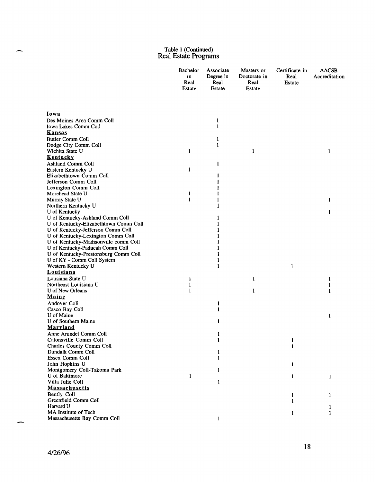|                                         | <b>Bachelor</b><br>in<br>Real<br>Estate | Associate<br>Degree in<br>Real<br>Estate | Masters or<br>Doctorate in<br>Real<br><b>Estate</b> | Certificate in<br>Real<br><b>Estate</b> | <b>AACSB</b><br>Accreditation |
|-----------------------------------------|-----------------------------------------|------------------------------------------|-----------------------------------------------------|-----------------------------------------|-------------------------------|
| <u>Iowa</u>                             |                                         |                                          |                                                     |                                         |                               |
| Des Moines Area Comm Coll               |                                         | 1                                        |                                                     |                                         |                               |
| Iowa Lakes Comm Coll                    |                                         | 1                                        |                                                     |                                         |                               |
| <b>Kansas</b>                           |                                         |                                          |                                                     |                                         |                               |
| <b>Butler Comm Coll</b>                 |                                         | 1                                        |                                                     |                                         |                               |
| Dodge City Comm Coll                    |                                         | 1                                        |                                                     |                                         |                               |
| Wichita State U                         | 1                                       |                                          | 1                                                   |                                         | 1                             |
| Kentucky                                |                                         |                                          |                                                     |                                         |                               |
| Ashland Comm Coll                       |                                         | 1                                        |                                                     |                                         |                               |
| Eastern Kentucky U                      | $\mathbf{1}$                            |                                          |                                                     |                                         |                               |
| Elizabethtown Comm Coll                 |                                         | 1                                        |                                                     |                                         |                               |
| Jefferson Comm Coll                     |                                         | 1                                        |                                                     |                                         |                               |
| Lexington Comm Coll<br>Morehead State U |                                         | 1                                        |                                                     |                                         |                               |
|                                         | 1<br>$\mathbf{1}$                       | 1                                        |                                                     |                                         |                               |
| Murray State U<br>Northern Kentucky U   |                                         | 1                                        |                                                     |                                         | 1                             |
| U of Kentucky                           |                                         |                                          |                                                     |                                         | 1                             |
| U of Kentucky-Ashland Comm Coll         |                                         | 1                                        |                                                     |                                         |                               |
| U of Kentucky-Elizabethtown Comm Coll   |                                         | 1                                        |                                                     |                                         |                               |
| U of Kentucky-Jefferson Comm Coll       |                                         |                                          |                                                     |                                         |                               |
| U of Kentucky-Lexington Comm Coll       |                                         |                                          |                                                     |                                         |                               |
| U of Kentucky-Madisonville comm Coll    |                                         |                                          |                                                     |                                         |                               |
| U of Kentucky-Paducah Comm Coll         |                                         | 1                                        |                                                     |                                         |                               |
| U of Kentucky-Prestonsburg Comm Coll    |                                         | 1                                        |                                                     |                                         |                               |
| U of KY - Comm Coll System              |                                         | 1                                        |                                                     |                                         |                               |
| Western Kentucky U                      |                                         | 1                                        |                                                     | 1                                       |                               |
| Louisiana                               |                                         |                                          |                                                     |                                         |                               |
| Lousiana State U                        | 1                                       |                                          | $\mathbf{1}$                                        |                                         | 1                             |
| Northeast Louisiana U                   | 1                                       |                                          |                                                     |                                         | 1                             |
| U of New Orleans                        | 1                                       |                                          | 1                                                   |                                         | 1                             |
| Maine                                   |                                         |                                          |                                                     |                                         |                               |
| Andover Coll                            |                                         | 1                                        |                                                     |                                         |                               |
| Casco Bay Coll<br>U of Maine            |                                         | 1                                        |                                                     |                                         |                               |
| U of Southern Maine                     |                                         | 1                                        |                                                     |                                         | 1                             |
| <b>Maryland</b>                         |                                         |                                          |                                                     |                                         |                               |
| Anne Arundel Comm Coll                  |                                         | 1                                        |                                                     |                                         |                               |
| Catonsville Comm Coll                   |                                         | 1                                        |                                                     | 1                                       |                               |
| <b>Charles County Comm Coll</b>         |                                         |                                          |                                                     | 1                                       |                               |
| Dundalk Comm Coll                       |                                         | 1                                        |                                                     |                                         |                               |
| Essex Comm Coll                         |                                         | 1                                        |                                                     |                                         |                               |
| John Hopkins U                          |                                         |                                          |                                                     | 1                                       |                               |
| Montgomery Coll-Takoma Park             |                                         | 1                                        |                                                     |                                         |                               |
| U of Baltimore                          | $\mathbf{1}$                            |                                          |                                                     | 1                                       | 1                             |
| Villa Julie Coll                        |                                         | 1                                        |                                                     |                                         |                               |
| <u>Massachusetts</u>                    |                                         |                                          |                                                     |                                         |                               |
| Bently Coll                             |                                         |                                          |                                                     | 1                                       | 1                             |
| Greenfield Comm Coll                    |                                         |                                          |                                                     | 1                                       |                               |
| Harvard U                               |                                         |                                          |                                                     |                                         | 1                             |
| MA Institute of Tech                    |                                         |                                          |                                                     | 1                                       | 1                             |
| Massachusetts Bay Comm Coll             |                                         |                                          |                                                     |                                         |                               |

Ā

щ,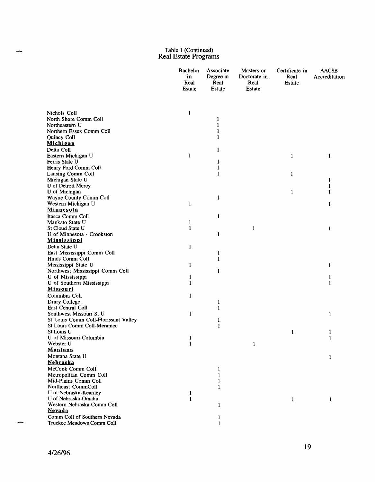|                                                   | <b>Bachelor</b><br>in<br>Real<br><b>Estate</b> | Associate<br>Degree in<br>Real<br>Estate | Masters or<br>Doctorate in<br>Real<br>Estate | Certificate in<br>Real<br>Estate | <b>AACSB</b><br>Accreditation |
|---------------------------------------------------|------------------------------------------------|------------------------------------------|----------------------------------------------|----------------------------------|-------------------------------|
| Nichols Coll                                      | 1                                              |                                          |                                              |                                  |                               |
| North Shore Comm Coll                             |                                                | 1                                        |                                              |                                  |                               |
| Northeastern U                                    |                                                | 1                                        |                                              |                                  |                               |
| Northern Essex Comm Coll                          |                                                |                                          |                                              |                                  |                               |
| Quincy Coll                                       |                                                |                                          |                                              |                                  |                               |
| Michigan                                          |                                                |                                          |                                              |                                  |                               |
| Delta Coll                                        |                                                | 1                                        |                                              |                                  |                               |
| Eastern Michigan U                                | 1                                              |                                          |                                              | 1                                | 1                             |
| Ferris State U                                    |                                                | 1                                        |                                              |                                  |                               |
| Henry Ford Comm Coll                              |                                                | ł                                        |                                              |                                  |                               |
| Lansing Comm Coll                                 |                                                | 1                                        |                                              | 1                                |                               |
| Michigan State U                                  |                                                |                                          |                                              |                                  | 1                             |
| U of Detroit Mercy                                |                                                |                                          |                                              |                                  |                               |
| U of Michigan                                     |                                                |                                          |                                              | $\mathbf{1}$                     | 1                             |
| Wayne County Comm Coll                            |                                                | 1                                        |                                              |                                  |                               |
| Western Michigan U                                | 1                                              |                                          |                                              |                                  | 1                             |
| <b>Minnesota</b>                                  |                                                |                                          |                                              |                                  |                               |
| Itasca Comm Coll                                  |                                                | 1                                        |                                              |                                  |                               |
| Mankato State U                                   | 1                                              |                                          |                                              |                                  |                               |
| St Cloud State U<br>U of Minnesota - Crookston    | 1                                              | 1                                        | 1                                            |                                  | 1                             |
| <b>Mississippi</b>                                |                                                |                                          |                                              |                                  |                               |
| Delta State U                                     | 1                                              |                                          |                                              |                                  |                               |
| East Mississippi Comm Coll                        |                                                | 1                                        |                                              |                                  |                               |
| Hinds Comm Coll                                   |                                                | 1                                        |                                              |                                  |                               |
| Mississippi State U                               | 1                                              |                                          |                                              |                                  | 1                             |
| Northwest Mississippi Comm Coll                   |                                                | 1                                        |                                              |                                  |                               |
| U of Mississippi                                  | 1                                              |                                          |                                              |                                  | ł                             |
| U of Southern Mississippi                         | 1                                              |                                          |                                              |                                  | 1                             |
| <u>Missouri</u>                                   |                                                |                                          |                                              |                                  |                               |
| Columbia Coll                                     | 1                                              |                                          |                                              |                                  |                               |
| Drury College                                     |                                                | 1                                        |                                              |                                  |                               |
| East Central Coll                                 |                                                | 1                                        |                                              |                                  |                               |
| Southwest Missouri St U                           | 1                                              |                                          |                                              |                                  | 1                             |
| St Louis Comm Coll-Florissant Valley              |                                                | 1                                        |                                              |                                  |                               |
| St Louis Comm Coll-Meramec                        |                                                | $\mathbf{1}$                             |                                              |                                  |                               |
| St Louis U                                        |                                                |                                          |                                              | 1                                | 1                             |
| U of Missouri-Columbia                            | 1                                              |                                          |                                              |                                  | 1                             |
| Webster U                                         | $\mathbf{1}$                                   |                                          | 1                                            |                                  |                               |
| Montana                                           |                                                |                                          |                                              |                                  |                               |
| Montana State U                                   |                                                |                                          |                                              |                                  | 1                             |
| <b>Nebraska</b>                                   |                                                |                                          |                                              |                                  |                               |
| McCook Comm Coll                                  |                                                | 1                                        |                                              |                                  |                               |
| Metropolitan Comm Coll                            |                                                | 1                                        |                                              |                                  |                               |
| Mid-Plains Comm Coll                              |                                                | 1                                        |                                              |                                  |                               |
| Northeast CommColl                                |                                                | 1                                        |                                              |                                  |                               |
| U of Nebraska-Kearney                             | 1                                              |                                          |                                              |                                  |                               |
| U of Nebraska-Omaha<br>Western Nebraska Comm Coll | $\mathbf{1}$                                   |                                          |                                              | $\mathbf{1}$                     | 1                             |
| <b>Nevada</b>                                     |                                                | 1                                        |                                              |                                  |                               |
| Comm Coll of Southern Nevada                      |                                                | $\mathbf{1}$                             |                                              |                                  |                               |
| Truckee Meadows Comm Coll                         |                                                | 1                                        |                                              |                                  |                               |
|                                                   |                                                |                                          |                                              |                                  |                               |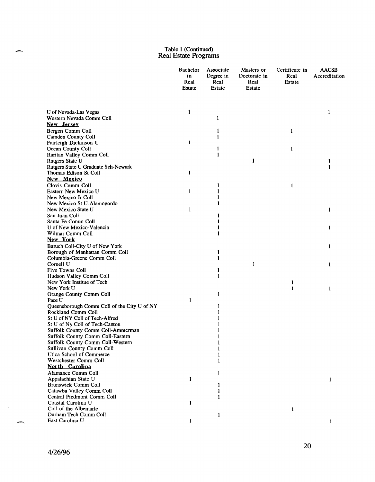|                                                             | Bachelor<br>in<br>Real<br>Estate | Associate<br>Degree in<br>Real<br>Estate | Masters or<br>Doctorate in<br>Real<br><b>Estate</b> | Certificate in<br>Real<br><b>Estate</b> | <b>AACSB</b><br>Accreditation |
|-------------------------------------------------------------|----------------------------------|------------------------------------------|-----------------------------------------------------|-----------------------------------------|-------------------------------|
| U of Nevada-Las Vegas                                       | 1                                |                                          |                                                     |                                         | 1                             |
| Western Nevada Comm Coll                                    |                                  | 1                                        |                                                     |                                         |                               |
| New Jersey                                                  |                                  |                                          |                                                     |                                         |                               |
| Bergen Comm Coll                                            |                                  | 1                                        |                                                     | 1                                       |                               |
| <b>Camden County Coll</b>                                   |                                  | 1                                        |                                                     |                                         |                               |
| Fairleigh Dickinson U                                       | 1                                |                                          |                                                     |                                         |                               |
| Ocean County Coll                                           |                                  | 1                                        |                                                     | 1                                       |                               |
| Raritan Valley Comm Coll                                    |                                  | 1                                        |                                                     |                                         |                               |
| Rutgers State U                                             |                                  |                                          | 1                                                   |                                         | 1                             |
| Rutgers State U Graduate Sch-Newark                         |                                  |                                          |                                                     |                                         | 1                             |
| Thomas Edison St Coll                                       | 1                                |                                          |                                                     |                                         |                               |
| New Mexico                                                  |                                  |                                          |                                                     |                                         |                               |
| Clovis Comm Coll                                            |                                  | 1                                        |                                                     | 1                                       |                               |
| Eastern New Mexico U                                        | 1                                | 1                                        |                                                     |                                         |                               |
| New Mexico Jr Coll                                          |                                  | 1                                        |                                                     |                                         |                               |
| New Mexico St U-Alamogordo                                  |                                  | 1                                        |                                                     |                                         |                               |
| New Mexico State U                                          | 1                                |                                          |                                                     |                                         | 1                             |
| San Juan Coll                                               |                                  | 1                                        |                                                     |                                         |                               |
| Santa Fe Comm Coll                                          |                                  | 1                                        |                                                     |                                         |                               |
| U of New Mexico-Valencia                                    |                                  |                                          |                                                     |                                         | 1                             |
| Wilmar Comm Coll                                            |                                  | 1                                        |                                                     |                                         |                               |
| New York                                                    |                                  |                                          |                                                     |                                         |                               |
| Baruch Coll-City U of New York                              |                                  |                                          |                                                     |                                         | 1                             |
| Borough of Manhattan Comm Coll<br>Columbia-Greene Comm Coll |                                  | 1                                        |                                                     |                                         |                               |
| Cornell U                                                   |                                  | 1                                        | 1                                                   |                                         |                               |
| <b>Five Towns Coll</b>                                      |                                  | 1                                        |                                                     |                                         | 1                             |
| Hudson Valley Comm Coll                                     |                                  | 1                                        |                                                     |                                         |                               |
| New York Institue of Tech                                   |                                  |                                          |                                                     | 1                                       |                               |
| New York U                                                  |                                  |                                          |                                                     | 1                                       | 1                             |
| Orange County Comm Coll                                     |                                  | 1                                        |                                                     |                                         |                               |
| Pace U                                                      | 1                                |                                          |                                                     |                                         |                               |
| Queensborough Comm Coll of the City U of NY                 |                                  | 1                                        |                                                     |                                         |                               |
| Rockland Comm Coll                                          |                                  |                                          |                                                     |                                         |                               |
| St U of NY Coll of Tech-Alfred                              |                                  |                                          |                                                     |                                         |                               |
| St U of Ny Coll of Tech-Canton                              |                                  |                                          |                                                     |                                         |                               |
| Suffolk County Comm Coll-Ammerman                           |                                  |                                          |                                                     |                                         |                               |
| Suffolk County Comm Coll-Eastern                            |                                  | L                                        |                                                     |                                         |                               |
| Suffolk County Comm Coll-Western                            |                                  | $\mathbf{1}$                             |                                                     |                                         |                               |
| Sullivan County Comm Coll                                   |                                  | 1                                        |                                                     |                                         |                               |
| Utica School of Commerce                                    |                                  | 1                                        |                                                     |                                         |                               |
| Westchester Comm Coll                                       |                                  | 1                                        |                                                     |                                         |                               |
| North Carolina                                              |                                  |                                          |                                                     |                                         |                               |
| Alamance Comm Coll                                          |                                  | 1                                        |                                                     |                                         |                               |
| Appalachian State U                                         | 1                                |                                          |                                                     |                                         | $\mathbf{1}$                  |
| <b>Brunswick Comm Coll</b>                                  |                                  | 1                                        |                                                     |                                         |                               |
| Catawba Valley Comm Coll                                    |                                  | 1                                        |                                                     |                                         |                               |
| Central Piedmont Comm Coll                                  |                                  | 1                                        |                                                     |                                         |                               |
| Coastal Carolina U<br>Coll of the Albemarle                 | 1                                |                                          |                                                     |                                         |                               |
| Durham Tech Comm Coll                                       |                                  |                                          |                                                     | 1                                       |                               |
| East Carolina U                                             | 1                                | 1                                        |                                                     |                                         |                               |
|                                                             |                                  |                                          |                                                     |                                         |                               |

 $\mathcal{A}^{\mathcal{A}}$ 

 $\overline{\phantom{a}}$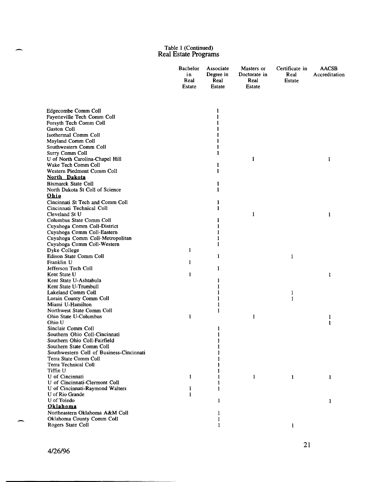|                                                                   | Bachelor<br>in<br>Real<br><b>Estate</b> | Associate<br>Degree in<br>Real<br>Estate | Masters or<br>Doctorate in<br>Real<br><b>Estate</b> | Certificate in<br>Real<br>Estate | <b>AACSB</b><br>Accreditation |
|-------------------------------------------------------------------|-----------------------------------------|------------------------------------------|-----------------------------------------------------|----------------------------------|-------------------------------|
| Edgecombe Comm Coll                                               |                                         | 1                                        |                                                     |                                  |                               |
| Fayetteville Tech Comm Coll                                       |                                         |                                          |                                                     |                                  |                               |
| Forsyth Tech Comm Coll                                            |                                         |                                          |                                                     |                                  |                               |
| Gaston Coll                                                       |                                         |                                          |                                                     |                                  |                               |
| Isothermal Comm Coll                                              |                                         |                                          |                                                     |                                  |                               |
| Mayland Comm Coll                                                 |                                         |                                          |                                                     |                                  |                               |
| Southwestern Comm Coll                                            |                                         |                                          |                                                     |                                  |                               |
| Surry Comm Coll                                                   |                                         |                                          |                                                     |                                  |                               |
| U of North Carolina-Chapel Hill<br>Wake Tech Comm Coll            |                                         |                                          | 1                                                   |                                  | 1                             |
| Western Piedmont Comm Coll                                        |                                         | 1                                        |                                                     |                                  |                               |
| North Dakota                                                      |                                         |                                          |                                                     |                                  |                               |
| <b>Bismarck State Coll</b>                                        |                                         | 1                                        |                                                     |                                  |                               |
| North Dakota St Coll of Science                                   |                                         | 1                                        |                                                     |                                  |                               |
| Ohio                                                              |                                         |                                          |                                                     |                                  |                               |
| Cincinnati St Tech and Comm Coll                                  |                                         | 1                                        |                                                     |                                  |                               |
| Cincinnati Technical Coll                                         |                                         | L                                        |                                                     |                                  |                               |
| Cleveland St U                                                    |                                         |                                          | $\mathbf{1}$                                        |                                  | 1                             |
| Columbus State Comm Coll                                          |                                         |                                          |                                                     |                                  |                               |
| Cuyahoga Comm Coll-District                                       |                                         |                                          |                                                     |                                  |                               |
| Cuyahoga Comm Coll-Eastern                                        |                                         |                                          |                                                     |                                  |                               |
| Cuyahoga Comm Coll-Metropolitan                                   |                                         |                                          |                                                     |                                  |                               |
| Cuyahoga Comm Coll-Western                                        |                                         | 1                                        |                                                     |                                  |                               |
| Dyke College                                                      | 1                                       |                                          |                                                     |                                  |                               |
| Edison State Comm Coll                                            |                                         | 1                                        |                                                     | 1                                |                               |
| Franklin U                                                        | 1                                       |                                          |                                                     |                                  |                               |
| Jefferson Tech Coll<br>Kent State U                               | 1                                       | 1                                        |                                                     |                                  |                               |
| Kent State U-Ashtabula                                            |                                         | 1                                        |                                                     |                                  | 1                             |
| Kent State U-Trumbull                                             |                                         |                                          |                                                     |                                  |                               |
| Lakeland Comm Coll                                                |                                         |                                          |                                                     | 1                                |                               |
| Lorain County Comm Coll                                           |                                         |                                          |                                                     | 1                                |                               |
| Miami U-Hamilton                                                  |                                         |                                          |                                                     |                                  |                               |
| Northwest State Comm Coll                                         |                                         | 1                                        |                                                     |                                  |                               |
| Ohio State U-Columbus                                             | 1                                       |                                          | 1                                                   |                                  | 1                             |
| Ohio U                                                            |                                         |                                          |                                                     |                                  | 1                             |
| Sinclair Comm Coll                                                |                                         | 1                                        |                                                     |                                  |                               |
| Southern Ohio Coll-Cincinnati                                     |                                         |                                          |                                                     |                                  |                               |
| Southern Ohio Coll-Fairfield                                      |                                         |                                          |                                                     |                                  |                               |
| Southern State Comm Coll                                          |                                         |                                          |                                                     |                                  |                               |
| Southwestern Coll of Business-Cincinnati<br>Terra State Comm Coll |                                         |                                          |                                                     |                                  |                               |
| Terra Technical Coll                                              |                                         |                                          |                                                     |                                  |                               |
| Tiffin U                                                          |                                         |                                          |                                                     |                                  |                               |
| U of Cincinnati                                                   | 1                                       |                                          | $\mathbf{1}$                                        | 1                                | 1                             |
| U of Cincinnati-Clermont Coll                                     |                                         |                                          |                                                     |                                  |                               |
| U of Cincinnati-Raymond Walters                                   | 1                                       | 1                                        |                                                     |                                  |                               |
| U of Rio Grande                                                   | 1                                       |                                          |                                                     |                                  |                               |
| U of Toledo                                                       |                                         | 1                                        |                                                     |                                  | 1                             |
| Oklahoma                                                          |                                         |                                          |                                                     |                                  |                               |
| Northeastern Oklahoma A&M Coll                                    |                                         | 1                                        |                                                     |                                  |                               |
| Oklahoma County Comm Coll                                         |                                         |                                          |                                                     |                                  |                               |
| Rogers State Coll                                                 |                                         |                                          |                                                     | 1                                |                               |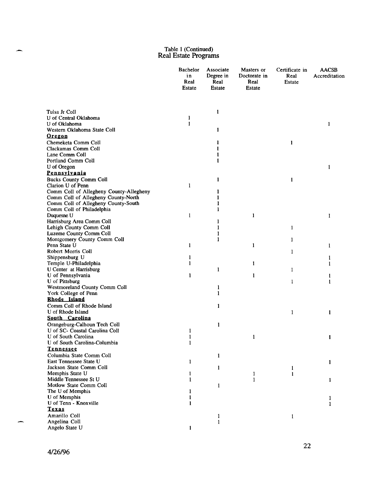|                                                                | Bachelor<br>in<br>Real<br><b>Estate</b> | Associate<br>Degree in<br>Real<br><b>Estate</b> | Masters or<br>Doctorate in<br>Real<br>Estate | Certificate in<br>Real<br><b>Estate</b> | <b>AACSB</b><br>Accreditation |
|----------------------------------------------------------------|-----------------------------------------|-------------------------------------------------|----------------------------------------------|-----------------------------------------|-------------------------------|
| Tulsa Jr Coll                                                  |                                         |                                                 |                                              |                                         |                               |
| U of Central Oklahoma                                          | 1                                       | 1                                               |                                              |                                         |                               |
| U of Oklahoma                                                  | 1                                       |                                                 |                                              |                                         | L                             |
| Western Oklahoma State Coll                                    |                                         | 1                                               |                                              |                                         |                               |
| <u>Oregon</u>                                                  |                                         |                                                 |                                              |                                         |                               |
| Chemeketa Comm Coll                                            |                                         | 1                                               |                                              | $\mathbf{1}$                            |                               |
| Clackamas Comm Coll                                            |                                         |                                                 |                                              |                                         |                               |
| Lane Comm Coll                                                 |                                         |                                                 |                                              |                                         |                               |
| Portland Comm Coll                                             |                                         |                                                 |                                              |                                         |                               |
| U of Oregon                                                    |                                         |                                                 |                                              |                                         | 1                             |
| <u>Pennsylvania</u>                                            |                                         |                                                 |                                              |                                         |                               |
| <b>Bucks County Comm Coll</b>                                  |                                         | 1                                               |                                              | 1                                       |                               |
| Clarion U of Penn                                              | 1                                       |                                                 |                                              |                                         |                               |
| Comm Coll of Allegheny County-Allegheny                        |                                         | 1                                               |                                              |                                         |                               |
| Comm Coll of Allegheny County-North                            |                                         | 1                                               |                                              |                                         |                               |
| Comm Coll of Allegheny County-South                            |                                         | 1                                               |                                              |                                         |                               |
| Comm Coll of Philadelphia                                      |                                         | 1                                               | 1                                            |                                         |                               |
| Duquesne U<br>Harrisburg Area Comm Coll                        | 1                                       |                                                 |                                              |                                         | 1                             |
| Lehigh County Comm Coll                                        |                                         |                                                 |                                              | $\mathbf{1}$                            |                               |
| Luzeme County Comm Coll                                        |                                         |                                                 |                                              |                                         |                               |
| Montgomery County Comm Coll                                    |                                         |                                                 |                                              | 1                                       |                               |
| Penn State U                                                   | 1                                       |                                                 | 1                                            |                                         | 1                             |
| Robert Morris Coll                                             |                                         |                                                 |                                              | 1                                       |                               |
| Shippensburg U                                                 |                                         |                                                 |                                              |                                         |                               |
| Temple U-Philadelphia                                          |                                         |                                                 | 1                                            |                                         |                               |
| U Center at Harrisburg                                         |                                         | $\mathbf{1}$                                    |                                              | 1                                       |                               |
| U of Pennsylvania                                              | 1                                       |                                                 | 1                                            |                                         | 1                             |
| <b>U</b> of Pittsburg                                          |                                         |                                                 |                                              | 1                                       | 1                             |
| Westmoreland County Comm Coll                                  |                                         | 1                                               |                                              |                                         |                               |
| York College of Penn                                           |                                         | 1                                               |                                              |                                         |                               |
| Rhode Island                                                   |                                         |                                                 |                                              |                                         |                               |
| Comm Coll of Rhode Island                                      |                                         | 1                                               |                                              |                                         |                               |
| U of Rhode Island<br>South Carolina                            |                                         |                                                 |                                              | 1                                       | 1                             |
|                                                                |                                         |                                                 |                                              |                                         |                               |
| Orangeburg-Calhoun Tech Coll<br>U of SC- Coastal Carolina Coll |                                         | 1                                               |                                              |                                         |                               |
| U of South Carolina                                            | 1<br>1                                  |                                                 | 1                                            |                                         | 1                             |
| U of South Carolina-Columbia                                   | 1                                       |                                                 |                                              |                                         |                               |
| <b>Tennessee</b>                                               |                                         |                                                 |                                              |                                         |                               |
| Columbia State Comm Coll                                       |                                         | 1                                               |                                              |                                         |                               |
| East Tennessee State U                                         | 1                                       |                                                 |                                              |                                         | 1                             |
| Jackson State Comm Coll                                        |                                         | 1                                               |                                              | 1                                       |                               |
| Memphis State U                                                | 1                                       |                                                 | 1                                            | 1                                       |                               |
| Middle Tennessee St U                                          | $\mathbf{1}$                            |                                                 | $\mathbf{1}$                                 |                                         | 1                             |
| Motlow State Comm Coll                                         |                                         | 1                                               |                                              |                                         |                               |
| The U of Memphis                                               |                                         |                                                 |                                              |                                         |                               |
| U of Memphis                                                   |                                         |                                                 |                                              |                                         | 1                             |
| U of Tenn - Knoxville                                          | 1                                       |                                                 |                                              |                                         | 1                             |
| Texas                                                          |                                         |                                                 |                                              |                                         |                               |
| Amarillo Coll                                                  |                                         | $\mathbf{1}$                                    |                                              | 1                                       |                               |
| Angelina Coll                                                  |                                         | $\mathbf{1}$                                    |                                              |                                         |                               |
| Angelo State U                                                 | 1                                       |                                                 |                                              |                                         |                               |

 $\overline{\phantom{m}}$ 

 $\overline{\phantom{0}}$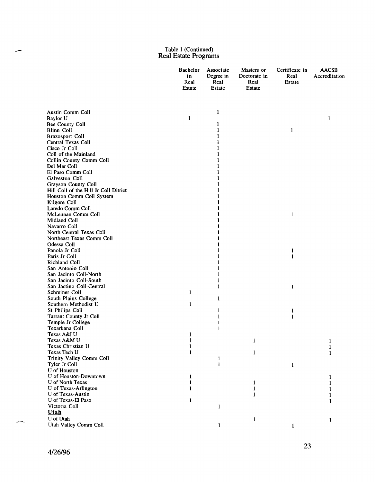|                                                    | <b>Bachelor</b><br>in<br>Real<br>Estate | Associate<br>Degree in<br>Real<br>Estate | Masters or<br>Doctorate in<br>Real<br><b>Estate</b> | Certificate in<br>Real<br>Estate | <b>AACSB</b><br>Accreditation |
|----------------------------------------------------|-----------------------------------------|------------------------------------------|-----------------------------------------------------|----------------------------------|-------------------------------|
| Austin Comm Coll                                   |                                         | 1                                        |                                                     |                                  |                               |
| Baylor U                                           | 1                                       |                                          |                                                     |                                  | 1                             |
| Bee County Coll                                    |                                         | 1                                        |                                                     |                                  |                               |
| Blinn Coll                                         |                                         | 1                                        |                                                     | $\mathbf{1}$                     |                               |
| <b>Brazosport Coll</b>                             |                                         | 1                                        |                                                     |                                  |                               |
| Central Texas Coll<br>Cisco Jr Coll                |                                         |                                          |                                                     |                                  |                               |
| Coll of the Mainland                               |                                         |                                          |                                                     |                                  |                               |
| Collin County Comm Coll                            |                                         |                                          |                                                     |                                  |                               |
| Del Mar Coll                                       |                                         |                                          |                                                     |                                  |                               |
| El Paso Comm Coll                                  |                                         |                                          |                                                     |                                  |                               |
| Galveston Coll                                     |                                         |                                          |                                                     |                                  |                               |
| <b>Grayson County Coll</b>                         |                                         |                                          |                                                     |                                  |                               |
| Hill Coll of the Hill Jr Coll Ditrict              |                                         |                                          |                                                     |                                  |                               |
| Houston Comm Coll System                           |                                         |                                          |                                                     |                                  |                               |
| Kilgore Coll                                       |                                         |                                          |                                                     |                                  |                               |
| Laredo Comm Coll                                   |                                         |                                          |                                                     |                                  |                               |
| McLennan Comm Coll                                 |                                         |                                          |                                                     | $\mathbf{1}$                     |                               |
| Midland Coll                                       |                                         |                                          |                                                     |                                  |                               |
| Navarro Coll<br>North Central Texas Coll           |                                         |                                          |                                                     |                                  |                               |
| Northeast Texas Comm Coll                          |                                         |                                          |                                                     |                                  |                               |
| Odessa Coll                                        |                                         |                                          |                                                     |                                  |                               |
| Panola Jr Coll                                     |                                         |                                          |                                                     | 1                                |                               |
| Paris Jr Coll                                      |                                         |                                          |                                                     | $\mathbf{1}$                     |                               |
| Richland Coll                                      |                                         |                                          |                                                     |                                  |                               |
| San Antonio Coll                                   |                                         |                                          |                                                     |                                  |                               |
| San Jacinto Coll-North                             |                                         | 1                                        |                                                     |                                  |                               |
| San Jacinto Coll-South                             |                                         | 1                                        |                                                     |                                  |                               |
| San Jactino Coll-Central                           |                                         | 1                                        |                                                     | 1                                |                               |
| Schreiner Coll                                     | 1                                       |                                          |                                                     |                                  |                               |
| South Plains College                               |                                         | 1                                        |                                                     |                                  |                               |
| Southern Methodist U                               | 1                                       |                                          |                                                     |                                  |                               |
| St Philips Coll                                    |                                         | 1                                        |                                                     | 1                                |                               |
| <b>Tarrant County Jr Coll</b><br>Temple Jr College |                                         | 1<br>1                                   |                                                     | 1                                |                               |
| Texarkana Coll                                     |                                         | 1                                        |                                                     |                                  |                               |
| Texas A&I U                                        | 1                                       |                                          |                                                     |                                  |                               |
| Texas A&M U                                        | $\mathbf{1}$                            |                                          | 1                                                   |                                  |                               |
| Texas Christian U                                  | 1                                       |                                          |                                                     |                                  | 1                             |
| Texas Tech U                                       | 1                                       |                                          | 1                                                   |                                  | 1                             |
| Trinity Valley Comm Coll                           |                                         | 1                                        |                                                     |                                  |                               |
| Tyler Jr Coll                                      |                                         | 1                                        |                                                     | 1                                |                               |
| <b>U</b> of Houston                                |                                         |                                          |                                                     |                                  |                               |
| U of Houston-Downtown                              | 1                                       |                                          |                                                     |                                  | 1                             |
| U of North Texas                                   |                                         |                                          | 1                                                   |                                  |                               |
| U of Texas-Arlington                               |                                         |                                          | 1                                                   |                                  |                               |
| U of Texas-Austin<br>U of Texas-El Paso            |                                         |                                          | 1                                                   |                                  |                               |
| Victoria Coll                                      | 1                                       |                                          |                                                     |                                  |                               |
| <b>Utah</b>                                        |                                         | 1                                        |                                                     |                                  |                               |
| U of Utah                                          |                                         |                                          |                                                     |                                  |                               |
| Utah Valley Comm Coll                              |                                         | 1                                        | 1                                                   | $\mathbf{1}$                     | 1                             |
|                                                    |                                         |                                          |                                                     |                                  |                               |

÷,

-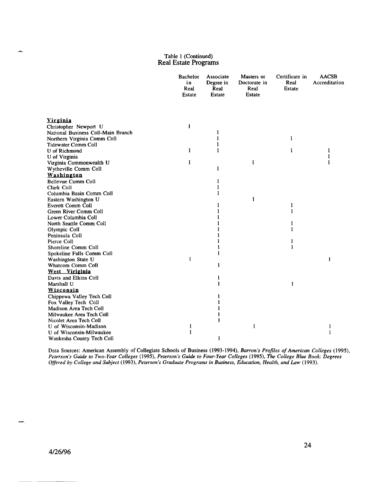|                                    | Bachelor<br>in<br>Real<br>Estate | Associate<br>Degree in<br>Real<br><b>Estate</b> | Masters or<br>Doctorate in<br>Real<br>Estate | Certificate in<br>Real<br>Estate | <b>AACSB</b><br>Accreditation |
|------------------------------------|----------------------------------|-------------------------------------------------|----------------------------------------------|----------------------------------|-------------------------------|
|                                    |                                  |                                                 |                                              |                                  |                               |
| <u>Virginia</u>                    |                                  |                                                 |                                              |                                  |                               |
| Christopher Newport U              | 1                                |                                                 |                                              |                                  |                               |
| National Business Coll-Main Branch |                                  | $\mathbf{1}$                                    |                                              |                                  |                               |
| Northern Virginia Comm Coll        |                                  | 1                                               |                                              | 1                                |                               |
| <b>Tidewater Comm Coll</b>         |                                  | 1                                               |                                              |                                  |                               |
| U of Richmond                      | 1                                | 1                                               |                                              | $\mathbf{1}$                     | 1                             |
| U of Virginia                      |                                  |                                                 |                                              |                                  | 1                             |
| Virginia Commonwealth U            | 1                                |                                                 | 1                                            |                                  | 1                             |
| Wytheville Comm Coll               |                                  | 1                                               |                                              |                                  |                               |
| Washington                         |                                  |                                                 |                                              |                                  |                               |
| <b>Bellevue Comm Coll</b>          |                                  | 1                                               |                                              |                                  |                               |
| Clark Coll                         |                                  | 1                                               |                                              |                                  |                               |
| Columbia Basin Comm Coll           |                                  | 1                                               |                                              |                                  |                               |
| Eastern Washington U               |                                  |                                                 | 1                                            |                                  |                               |
| <b>Everett Comm Coll</b>           |                                  |                                                 |                                              | 1                                |                               |
| Green River Comm Coll              |                                  | 1                                               |                                              | 1                                |                               |
| Lower Columbia Coll                |                                  |                                                 |                                              |                                  |                               |
| North Seattle Comm Coll            |                                  |                                                 |                                              | 1                                |                               |
| Olympic Coll                       |                                  |                                                 |                                              | 1                                |                               |
| Peninsula Coll                     |                                  |                                                 |                                              |                                  |                               |
| Pierce Coll                        |                                  |                                                 |                                              | 1                                |                               |
| Shoreline Comm Coll                |                                  | 1                                               |                                              | $\mathbf{1}$                     |                               |
| Spokeline Falls Comm Coll          |                                  | 1                                               |                                              |                                  |                               |
| Washington State U                 | 1                                |                                                 |                                              |                                  | 1                             |
| Whatcom Comm Coll                  |                                  | 1                                               |                                              |                                  |                               |
| West Viriginia                     |                                  |                                                 |                                              |                                  |                               |
| Davis and Elkins Coll              |                                  | 1                                               |                                              |                                  |                               |
| Marshall U                         |                                  | 1                                               |                                              | 1                                |                               |
| <b>Wisconsin</b>                   |                                  |                                                 |                                              |                                  |                               |
| Chippewa Valley Tech Coll          |                                  |                                                 |                                              |                                  |                               |
| Fox Valley Tech Coll               |                                  |                                                 |                                              |                                  |                               |
| Madison Area Tech Coll             |                                  |                                                 |                                              |                                  |                               |
| Milwaukee Area Tech Coll           |                                  |                                                 |                                              |                                  |                               |
| Nicolet Area Tech Coll             |                                  | 1                                               |                                              |                                  |                               |
| U of Wisconsin-Madison             | 1                                |                                                 | 1                                            |                                  | 1                             |
| U of Wisconsin-Milwaukee           | 1                                |                                                 |                                              |                                  | 1                             |
| Waukesha County Tech Coll          |                                  | 1                                               |                                              |                                  |                               |

Data Sources: American Assembly of Collegiate Schools of Business (1993-1994), *Barron's Profiles of American Colleges (1995), Peterson's Guide to Two-Year Colleges* (1995), *Peterson's Guide to Four-Year Colleges* (1995), *The College Blue Book: Degrees Offered by College and Subject* (1993), *Peterson's Graduate Programs in Business, Education, Health, and Law (1993).* 

 $\overline{\phantom{a}}$ 

للعد